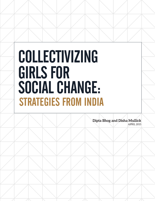# COLLECTIVIZING GIRLS FOR SOCIAL CHANGE: STRATEGIES FROM INDIA

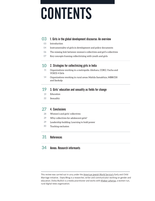# CONTENTS

## **03** 1. Girls in the global development discourse: An overview

- Introduction 03
- Instrumentality of girls in development and policy documents 04
- The missing link between women's collectives and girl's collectives 06
- Key concepts framing collectivizing with youth and girls 07

#### 2. Strategies for collectivizing girls in India **10**

- 11 Organizations working in a metropolis: Akshara, CORO, Vacha and VOICE 4 Girls
- 14 Organizations working in rural areas: Mahila Samakhya, MBBCDS and Sankalp

#### 3. Girls' education and sexuality as fields for change **19**

- Education 19
- Sexuality 22

#### 4. Conclusions **27**

- Women's and girls' collectives 28
- Why collectives for adolescent girls? 29
- Leadership building: Learning to hold power 29
- Tracking exclusion 30

#### References **31**

#### Annex: Research informants **34**

This review was carried out in 2015 under the [American Jewish World Service'](http://www.ajws.org)s Early and Child Marriage initiative. Dipta Bhog is a researcher, writer and communicator working on gender and education. Disha Mullick is a media practitioner and works with [Khabar Lahariya,](http://khabarlahariya.org/) a women-run, rural digital news organization.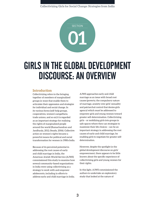

## GIRLS IN THE GLOBAL DEVELOPMENT DISCOURSE: AN OVERVIEW

### **Introduction**

Collectivizing refers to the bringing together of members of marginalized groups in ways that enable them to articulate their oppression and strategize for individual and social change. In its various forms (self-help groups, cooperatives, women's *sangathans,* trade unions, and so on) it is regarded as an important strategy for realizing the rights of marginalized people around the world (Ramachandran and Jandhyala, 2012; Steady, 2006). Collective action on women's rights became a powerful means for political and social transformation for women in 1980s India.

Because of its perceived potential in addressing the root causes of early and child marriage in India, the American Jewish World Service (AJWS) commissioned this study to examine how several community-based organizations in India were using collectivizing as a strategy to work with and empower adolescents, including in efforts to address early and child marriage in India. AJWS approaches early and child marriage as an issue with broad root causes (poverty, the compulsory nature of marriage, anxiety over girls' sexuality and patriarchal control that denies girls agency) which must be addressed to empower girls and young women toward greater self-determination. Collectivizing girls – or mobilizing girls into groups in safe spaces where they can strategize to maximize their life choices – can be an important strategy in addressing the root causes of early and child marriage, by enabling girls to negotiate for greater selfdetermination.

However, despite the spotlight in the global development discourse on girls' empowerment, there appears to be little known about the specific experience of collectivizing girls and young women for their rights.

In this light, AJWS commissioned the authors to undertake an exploratory study that looked at the nature of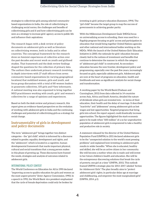strategies to collectivize girls among selected communitybased organizations in India, the role of collectivizing in challenging social norms, the challenges and benefits of collectivizing girls and if and how collectivizing girls can be seen as a strategy to increase girls' agency, access to public life and influence their aspirations.

The research began with a desk review of policy documents on adolescent girls as well as literature on collectivizing women, both in India and in other countries. The conceptual framework for the research drew on feminist experiences of collective action over the past decades and recent work on youth and girlhood studies. That framework and the desk review findings shaped the questions for the collection of primary data. The authors then undertook primary research involving in depth interviews with 27 staff officers from seven community-based organizations (in varying geographical locations) that mobilized women, girls and youth, and focus group discussions with a total of 80 women leaders in grassroots collectives, 105 girls and 9 key informants. A national meeting was also organized to bring together NGO practitioners working with youth, girls' and women's collectives for a range of opinions and experiences.

Based on both the desk review and primary research, this report gives an evidence-based perspective on the evolution of working with adolescent girls in India and the continuing challenges and potential of collectivizing girls as a strategy for social change.

## **Instrumentality of girls in development and policy documents**

The term "adolescent girl" brings together two distinct categories – the "girl child", which is informed by a discourse related to gender, equality, development and rights, and the "adolescent", which is located in a cognitive, human developmental framework that marks important physical, cultural and social transitions that a young person makes in this phase of growing up. These discourses have framed the needs, strategies and analysis of outcomes related to adolescent girls.

## INTERNATIONAL POLICY CONTEXT

The World Conference on Education for All in 1990 declared "improving access to quality education for girls and women as the most urgent priority" (Inter-Agency Commission, 1990). In a speech in 1992, the World Bank vice president emphasized that the cycle of female deprivation could only be broken by

investing in girls' primary education (Summers, 1994). The "girl child" became the target group to map the success of governments in achieving gender parity.

With the Millennium Development Goals' (MDGs) focus on universalizing access to schooling, there was need for a flagship program focusing on girls' access and participation in education that would bring together United Nations agencies and other national and international bodies working on the MDGs. With the launch of the United Nations Girls' Education Initiative in 2000, the rationale for girls' education became closely tied to the notions of investment and benefits that continue to determine the manner in which the category of "adolescent girl child" is constructed. As secondary education became the new frontier, development policy and programming, especially over the past five years, increasingly focused on girls, especially adolescent girls. Adolescent girls are now at the heart of programs on education, health and livelihoods and seen as significant catalysts for social change and transformation.

A working paper by the World Bank (Chabaan and Cunningham, 2011) from data collected in 14 countries across Asia, Africa and South America, detailed the nature of dividends when girls are invested into – in terms of their education, their health and the delay of marriage. It described "inactivity" and "joblessness" among adolescent girls as lost wages and lost opportunities. Targeted programs that bring girls into school, the report argued, could drastically increase opportunities. The figures highlighted the stark economic gains to be made when "600 million" of a so far unproductive population of adolescent girls is empowered to take a healthy and productive role in society.

A statement released by the director of the United Nations Population Fund (UNFPA) in 2011 declared adolescent girls to be the "unexpected solution to the world's most pressing problems" and explained how investing in adolescent girls results in wider benefits: "When she is educated, healthy and skilled, she will be an active citizen in her community. She will become a mother when she is ready and will invest in her future children's health and education. She will be the entrepreneur discovering solutions that break the cycle of poverty, one girl at a time" (UNFPA, 2011). This outlook framed UNFPA's strategic plan for 2013–2017, labeled "Action for Adolescent Girls". The plan broadly aims to "protect adolescent girls' rights, in particular delay age at marriage and childbearing, and empower the most marginalized girls" (UNFPA, 2014, p.1).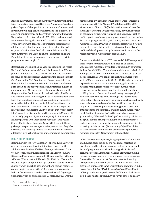Beyond international development policy, initiatives like the Nike Foundation-sponsored Girl Effect "movement" positions girls as "agents of change", into whom a minimal interest and investment will reap considerable returns. For example, "By delaying child marriage and early birth for one million girls, Bangladesh could potentially add \$69 billion to the national income over these girls' lifetimes."1 "Less than two cents of every development dollar goes to programs specifically for adolescent girls, but they are the key to breaking the cycle of poverty," rationalizes the Coalition for Adolescent Girls, a joint initiative of the United Nations Foundation and Nike Foundation, to bring fresh resources and perspectives into programs focused on girls.2

Research reports published by agencies spanning the World Bank and the International Council for Research on Women provide numbers and voices that corroborate the rationale for focus on adolescent girls. One interesting example is *Girls Speak*, one in the *Girls Count* series of reports published by the Coalition for Adolescent Girls. In *Girls Speak,* adolescent girls "speak" to the policy priorities and strategies in place to empower them. Not surprisingly, they strongly agree with the perspective that investing in their education, livelihoods and freedom to delay marriage will be transformative to their lives. The report positions itself as providing an integrated perspective, taking into account all the relevant factors in their environment. "Girls say: Give us the choice to put off marriage and childbearing until we decide that we are ready. I don't want to be like another girl I know who is 13 years old and already pregnant. I just want to get a job of my own and help my parents, who looked after me when I was young" (Green, Cardinal and Goldstein-Seigel, 2010, p. xxii). These girls'-eye perspectives are a persuasive, neat fit into the global discourse and advocacy around the aspirations and needs of adolescent girls as beneficiaries of programs and interventions.

## INDIA'S POLICY CONTEXT

Beginning with the New Education Policy in 1992, a diversity of strategies among education initiatives engaged with adult women. By the mid-1990s, the emphasis moved from women to girls with the launching of the District Primary Education Program and eventually the national Sarva Shikha Abhiyan (Education for All Mission) in 2001. In 2000, youth began to appear as a prominent group across sectors – health, sports, women and child development and human resources, connecting to the international discourse on adolescents. India at that time was slated to become the world's youngest population, with an average age of 29 years, and this was the

For instance, the Ministry of Women and Child Development's Sabla scheme for empowering girls aged 11–18 stated, "Adolescence represents a window of opportunity to prepare for healthy adult life…. The adolescent girls…need to be looked at not just in terms of their own needs as adolescent girls but also as individuals who can be productive members of the society" (Government of India, 2010, p. 2). The scheme is meant to provide inputs and resources for young girls in selected districts, ranging from nutrition to reproductive health counseling, as well as vocational training and leadership building through the formation and strengthening of girls' collective at the village level. Although the Sabla scheme holds potential as an empowering program, its focus on health (especially sexual and reproductive health) and nutrition is far greater than the inputs on accessing public spaces and entitlements or the vocational training inputs. Additionally, the definition of "productive" in the context of adolescent girls is telling: "The module developed for training [adolescent girls] will include issues pertaining to home maintenance, budgeting, saving, running the household, gender sensitivity, schooling of children, etc. [Adolescent girls] will be advised on these issues to orient them to become more productive members of society" (Government of India, 2010).

Indian development agencies, bridging the role of advocates and funders, seem to pull on the neoliberal narrative of investment and benefits when constructing the needs and focus of programs on youth and young girls. Social and economic potential, imminent risk and a focus on building the aspirations of young girls echo through these programs. *Owning Her Future*, a report that advocates for investing in empowering adolescent girls in the Indian context and provides a glimpse into some organizations operating in India, makes the point that "100 billion dollars" could be added to India's gross domestic product over the lifetime of adolescent girls if they had the opportunity to stay in school and delay

demographic dividend that would enable India's increased economic growth. The National Youth Policy, 2015–2020 (Government of India, 2014) builds on this idea and uses the language of investing in the productivity of youth, focusing on education, entrepreneurship and skill building as well as healthy youth to achieve greater gross domestic product value. But it is largely gender blind, with young women treated as a marginal category. Drawing on previous discourses, it reflects the classic gender divide, with boys targeted for skills and livelihood development and girls referenced in terms of their reproductive role (Government of India, 2014).

<sup>1</sup> See [www.girleffect.org.](http://www.girleffect.org)

<sup>2</sup> See [http://coalitionforadolescentgirls.org.](http://coalitionforadolescentgirls.org)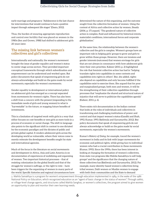early marriage and pregnancy. "Adolescence is the last chance for interventions that would continue to have a positive impact through subsequent life stages" (Dasra, 2012).

Thus, the burden of ensuring appropriate reproduction and control over fertility that was placed on women in the 1980s (Sen and Grown, 1988) had shifted to adolescent girls 20 years later.

## **The missing link between women's collectives and girl's collectives**

Internationally and nationally, the women's movement brought the issue of gender equality and women's status to center stage across sectors. They provided important conceptual frameworks through which subordination and empowerment can be understood and worked upon. But policy documents that speak of empowering girls do not always acknowledge and build on the gains made by social movements, especially the women's movements.

Gender equality in development or international policy on adolescent girls has emerged as a concept separated from movements for women's rights. There has also been a shift from a concern with the present (responding to the immediate needs of girls and young women) to what is "harvestable" in the future, or mapping future benefits of investments.

This is a limitation of targeted work with girls in a way that either focuses on cost-benefits or sees girls as mere tools in a process of economic or social change. The shift in language also points to the significant shift in context to one dictated by the economic paradigm and the dictates of public and private global capital. It renders adolescent girls across the developing world as vulnerable, where their voices come to merely reiterate the development benefits sought by state and international agencies.

Much of the focus in the literature on social movements and development in Africa, Asia and Latin America is on documentation of experiences of mobilizing and organizing of women. Two important historical processes – that of resisting colonization (in the global South) and that of the struggle for women's suffrage, or the right to vote – have been triggers for the organizing of women in many parts of the world. Specific histories and regional circumstances have determined the nature of this organizing, and the outcome sought from the collective formation of women. Using the context of Africa and collective action by women, Steady (2006, p. 17) argued, "The gendered nature of collective action is complex, fluid and influenced by historical events, materialist conditions, international forces and corporate globalization."

At the same time, the relationship between the women's collective and the girls is complex. Women's groups have an important role in helping girls' groups to grow and girls to grow within those groups. However, there are tensions and gender interests (outcomes) that women envisage for girls that are not always in consonance with how adolescent girls view their own priorities. Kabeer (2013, p. 2) highlighted the role that feminist collective action has had in "helping translate rights into capabilities in some contexts and capabilities into rights in others". But, she added, rights also depend on capabilities and only become fulfilled if the capabilities exist to exercise them. She argued that for poor and marginalized groups, both men and women, it will be the strengthening of their collective capabilities through processes that "emphasize the shared and structural nature of injustice that will serve to politicize the capabilities agenda" (Kabeer, 2013, p. 6).

There exists rich documentation in the Indian context that looks at the roles of individuals and collectives in transforming and challenging institutions of power and control and that impact women's status (Gandhi and Shah, 1992; Kumar, 1993; Batliwala and Gurumurthy, 2012). But policy documents that speak of empowering girls do not always acknowledge or build on the gains made by social movements, especially the women's movements.

Kumar's *History of Doing,* for example, traced the women's movement in India and its link with larger movements for economic and political rights, while giving face to individual women who had a crucial contribution in these movements (Kumar, 1993). Since the 1990s, there has been interest in looking at changing the formation of women's collectives, from state-run programs like Mahila Samakhya to self-help groups<sup>3</sup> and the significance that the changing nature of these collectives has (Batliwala and Gurumurthy, 2012). For example, many identity-based women's collectives bring tribal women, Dalit women or Muslim women to engage with both their communities and the State to demand

3 Mahila Samakhya is a program for women's empowerment through education implemented in 1989, in the wake of the 1986 National Policy on Education, which recognized education as an "agent of basic change in the status of women". Through *sakhis*, or village-level change agents, and structures called Mahila Sanghas, or women's collectives, the program aimed to give women an opportunity to plan and monitor their own learning needs.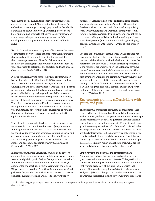their rights (social-cultural) and their entitlements (legal and governance related).4 Large federations of women's collectives have emerged through programs like the Mahila Samakhya and have involved a partnership between the State and feminist groups to collectivize poor rural women as a strategy to impact women's engagement with both development and rights (Ramachandran and Jandhyala, 2012).

"Mahila Samakhya viewed *sanghas* (collectives) as the means of countering powerlessness; *sanghas* were the instruments that would enable women to plan, implement and direct their own empowerment. The role of the outsider was to facilitate the coming together of women, allowing them the 'time and space' to determine the direction and pace of social change…" (Jandhyala, 2012, p. 107).

A large-scale initiative to form collectives of rural women by the State also took off in the mid-1990s, in partnership with banks, microfinance institutions, international development and fiscal institutions. It was the self-help group phenomenon, which unfolded on a national scale to address poverty alleviation by making credit available to women for both consumption needs and entrepreneurship. Ninety percent of the self-help groups were solely women's groups. The collective of women in self-help groups was a forum through which individual women could pool their savings; it was qualitatively different from the collectives, or *sanghas,* that represented groups of women struggling for justice, equity and entitlements.

The self-help group model has been criticized, however, for its focus only on economic (and not social) empowerment, "where gender equality is then cast as a business case and managed by deploying poor women…as untapped social and economic entrepreneurs who can raise household incomes and purchasing power, improve health and education status, and accelerate economic growth" (Batliwala and Gurumurthy, 2012, p. 439).

In comparison, there is a relatively smaller body of work documenting the organizing and mobilizing of youth (young women and girls in particular), with emphasis on the value in feminist methods of collective action. Batsleer's work (2013) documented the work with girls movement in the United Kingdom and its practice of youth and community work with girls over the past decade, with shifts in context and severe backlash. In an interesting parallel to the current policy

discourses, Batsleer talked of the shift from seeing girls as a focus of philanthropy to being "people with potential". Batsleer outlined the core curriculum used in organizing work with young girls and women as strongly rooted in feminist pedagogies: "identifying power and inequalities in our lives; challenging all discrimination and oppression at every level; esteem [and] confidence building; developing political awareness; anti-sexism; learning to support each other".

She also added that all collective work with girls does not necessarily challenge their subordinate position, and it's not the methods but the aim with which this work is done that determines the outcomes. Useful in Batsleer's perspective is the refusal to separate work on the autonomy of young people (to empower them) while also understanding that "empowerment is personal and structural". Additionally, a deeper understanding of the community that young women are embedded in is crucial to enabling them to negotiate through their lives. "It is within this tension between 'what is within our grasp' and 'what remains outside our power' that much of the creative work with girls and young women occurs..." (Batsleer, 2013).

## **Key concepts framing collectivizing with youth and girls**

The conceptual framework for the study brought together concepts that have informed political and development work with women – gender and empowerment – as well as concepts linked specifically to youth. The questions used for the field research were based on these concepts: Where do adolescent girls' interests figure in the world of data and statistics? What are the practical here-and-now needs of this group and what are the strategic needs? Subsequently, why collectivize girls? If unity and collective action is being imagined for this group, defined by its fluid and not yet binding identifications of age, class, caste, sexuality, region and religion, then what are the structural challenges that are specific to this group?

*Empowerment and practical and strategic interests* 

An important debate that has emerged centers on the question of what are women's interests. This question has been critical to not just understanding political movements that women were part of but also social policies that were built around assumptions related to their interests. Molyneux (1985) challenged the standardised formulation of 'women's interests', pointing to women's unequal status

<sup>4</sup> Dalit refers to groups marginalized by the Hindu caste system and subjected historically to untouchability and systematic discrimination.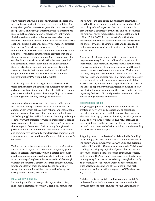being mediated through different structures like class and race, and also varying in form across regions and time. She categorised gender interests (so potentially for men as well) into practical and strategic interests. Practical interests are located in the concrete, material conditions that women find themselves – in their roles as mothers, wives or as workers. Practical interests, in her view, did not necessarily challenge gender-based inequities, while women's strategic interests do. Strategic interests are derived from an understanding of the reasons for women's secondary status and therefore address structures and practices that are at the core of women's subordination. Molyneux also pointed out that it is not an either/or situation between practical and strategic interests. "Indeed it is the politicization of these practical interests and their transformation into strategic interests that women can identify with and support which constitutes a central aspect of feminist political practice" (Molyneux, 1985, p. 234).

The idea of practical and strategic interests holds value in terms of the content and strategies of mobilizing adolescent girls on issues. More importantly, it highlights the need for not just short-term but long-term visions regarding the processes of seeking gender equality through collectivizing.

Another idea is empowerment, which has propelled work with women at the grass-roots level and has informed the approach with which policies (both national and international) commit to ensure development for poor, marginalized women. With changing global and local contexts of funding and design of empowerment programs for women, this concept is seen to have become depoliticized over the past decade. The question that emerges in the context of adolescent girls is, given that girls are lower in the hierarchy to adult women in the family and community, what would a transformative empowerment agenda mean for them and how different is this from women's concerns?

Tied to the concept of empowerment and the transformative idea of social change is the concern with integrating gender issues in different institutions, which is a stated outcome in development programs across the world. If and when gender mainstreaming takes place on issues related to adolescent girls, what are the issues that emerge in relation to the community, family and State for them as a constituency pushing for recognition and a voice, while at the same time being tied closely to their identity as daughters?

#### RISKS AND OPPORTUNITIES

Developing the idea of *risikogesellschaft*, or risk society, in the global electronic economy, Ulrich Beck argued that the failure of modern social institutions to control the risks that they have created (environmental and nuclear) has had a profound impact on the constant attempt in post-industrial societies to avoid risk. This has permeated the nature of social reproduction, intimate relations and politics (Elliot, 2002). In the context of youth studies, researchers have looked at the tensions that emerge from the choices available to young people and the reality of their circumstances and structures that they have little control over.

A new set of risks and opportunities emerge as young people move away from the traditional occupations of their parents and communities, particularly in the context of universalization of elementary education and the push toward completion of secondary education (Furlong and Cartmel, 1997). The research thus also asked: What are the nature of risks and opportunities that emerge for adolescent girls as they struggle to move away from domestic labor, access schooling and delay marriage? These shifts increase the years of dependency on their families, given the delay in entering the wage economy or then exaggerate concerns regarding their sexuality and give rise to new methods of control being exercised by families.

#### BUILDING SOCIAL CAPITAL

For young people from marginalized communities, the creation of networks and associations or collectives provides them with the possibility of constructing new identities, leveraging access or building ties that generate claims to new power structures. The value attached to one's social ties – in the form of durable networks, social ties and the structure of relations – is key to understanding the workings of social capital.

A typology used to understand social capital is "bonding" or "bridging"; the first is where links and networks within the family and community are drawn upon and bridging is where links with different groups are made. This idea of bonding and bridging capital is of particular importance in terms of gender because crossing boundaries of class, caste or being the "only one" comes with a cost in terms of moving away from resources existing through the family and community. "For [young women], severe tensions exist between expectations of relationships and high educational and occupational aspirations" (Henderson et al., 2007, p. 25).

Social and cultural capital is tied to economic capital. To understand or to build the resources that are available to young people to make choices or bring about changes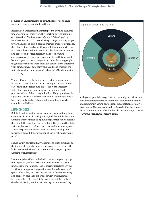requires an understanding of both the material and nonmaterial resources available to them.

Research on adolescents has attempted to develop a holistic understanding of their world by charting out the domains of interaction. The framework (figure 2.1) developed by Henderson et al. (2007) to track the journeys of young people toward adulthood over a decade, through their reflections on their hopes, fears and priorities over different points in time, marks out the domains where adult identities are developed and processed. For Henderson et al., these domains encompass work, education, domestic life and leisure. And hence, organizations' strategies to work with young people target one or some of these domains. Each of these intersects with dimensions of autonomy and adulthood through the self, relationships, practices and citizenship (Henderson et al., 2007, p. 29).

The significance or the investment that a young person makes in a particular domain, according to the researchers, can shrink and expand over time. And it can intersect with other domains, depending on the moment and preoccupations of the young individual. Forging and creating a personal future is a process that unfolds at multiple levels, both internally and in relation to the people and world around an individual.

#### A FIFTH DIMENSION

But the Henderson et al. framework leaves out an important dimension. Patel et al. (2013, p. 88) argued that while these four domains are recognized as legitimate spaces for young persons, there is a fifth space that has the potential to develop the skills, attitudes, beliefs and values that nurture all the other spaces. This fifth space is concerned with "active citizenship" and focuses on the self–transformation of society through young people.

Hence, youth-centric initiatives require as much emphasis on the immediate world of young persons as on the future – the links between the inner and outer worlds can open up new domains of engagements.

Resonating these ideas in the India context are youth groups that argue for youth-centric approaches (Patel et al., 2013). Emphasizing the importance of "experiential reflection", the youth-centric approach argues for "creating safe, youth-led spaces where they can take the journey of the self to society and back.... Where they experiment with creating impact in the world and, in turn, let the world impact their selves" (Patel et al., 2013, p. 46). Rather than organizations working



with young people in ways that aim to anticipate their future developmental potential or their duties to the nation, family and community, young people want personal transformative experiences. The spaces created, or the collective, becomes a forum not merely for reflection but also for analysis, exposure, learning, action and mentoring peers.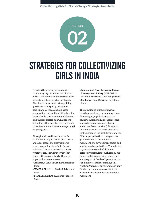

## STRATEGIES FOR COLLECTIVIZING GIRLS IN INDIA

Based on the primary research with community organizations, this chapter looks at the context and the rationale for promoting collective action with girls. The chapter responds to a few guiding questions: While policy articulates particular objectives, do field-based organizations mirror them? What are the types of collective forums for adolescent girls that are created and what are the links, if any, that exist between women's collectives and the interventions planned for young girls?

Through visits and interviews with staff of seven organizations (both urban and rural based), the study explored how organizations have built formal or informal forums, networks, clubs or whatever context within which they work with adolescent girls. The seven organizations encompassed:

- **• Akshara, CORO, Vacha** in Maharashtra State
- **• VOICE 4 Girls** in Hyderabad, Telangana State
- **• Mahila Samakhya** in Andhra Pradesh State
- **• Mohammad Bazar Backward Classes Development Society** (MBBCDS) in Birbhum District of West Bengal State
- **• Sankalp** in Kota District of Rajasthan State.

The selection of organizations was based on wanting representation from different geographical areas of the country. Additionally, the researchers wanted a mix of domains: (i) ruraland urban-based work; (ii) those who initiated work in the 1990s and those that emerged in the past decade; and (iii) differing organizational perspectives: groups related to the women's movement, the development sector and youth-based organizations. The selected organizations straddled different perspectives simultaneously; many are linked to the women's movement but are also part of the development sector. For example, Mahila Samakhya (in Andhra Pradesh) is an autonomous body funded by the state government but also identifies itself with the women's movement.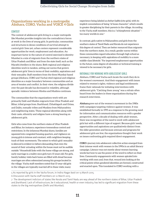## **Organizations working in a metropolis: Akshara, CORO, Vacha and VOICE 4 Girls**

## CONTEXT

The context of adolescent girls living in a major metropolis like Mumbai provides insights into the contradictory forces at work in the lives of young girls. In particular, communities and structures in dense conditions of survival attempt to control girls' lives yet, urban centers represent considerable opportunities for work, employment and education. An important factor in the nature of control exercised is identity: Mumbai is a mix of migrants from the northern states of Uttar Pradesh and Bihar and from the state itself, such as the Marathi dwellers in the slums. Both regional and religious identities work in tandem, setting out norms that govern adolescent girls' lives in terms of their mobility, aspirations and their sexuality. Staff members from the three Mumbai-based groups (Akshara, CORO and Vacha) cited regional and religious identities as a major boundary between communities and an area of tension and conflict. In their view, the religious divide over the past decade has decreased in volatility, although sporadic violence between Hindus and Muslims continues.

The communities that the organizations work with are primarily Dalit and Muslim migrants from Uttar Pradesh and Bihar, tribal groups from Jharkhand, Chhattisgarh and Orissa, and Dalits, nomadic tribes and Muslims from Maharashtra and neighboring states. These regional identities along with their caste, ethnicity and religion have a strong bearing on adolescent girls.

Girls who come from the northern states of Uttar Pradesh and Bihar, for instance, experience tremendous control and restrictions. In the infamous Mumbai slums, families are squeezed into congested housing quarters, and vigilance on young girls is intense and constant, with neighbors keeping track of their movements. The extent to which girls' sexuality is silenced is evident in fathers demanding that even the sound of their urinating within the house must not be audible outside.5 Household links with the home village are strong, and early marriage is a reality once girls turn 15 years old. For girls, family holiday visits back home are filled with dread because marriages are often solemnized among kin groups located in the village. Vacha staff members noted that 15-year-old girls in the villages are typically married off in these visits; many

experience being labeled as *shehari ladkis* (city girls), with its implicit connotations of being "of loose character", which results in greater disciplining by their parents in the village. According to the Vacha staff members, this is a "schizophrenic situation" – too many worlds in one.<sup>6</sup>

In contrast, girls native to Maharashtra and girls from the southern states of Tamil Nadu and Kerala do not experience this degree of control. They are better resourced than migrants from the northern states. As a result, gender norms within these communities regard education through high school as necessary, in keeping with aspirations of mobility to a more middle-class lifestyle.7 For improved employment opportunities in the future, some degree of education or technical training is viewed to be necessary for girls.

### RATIONALE FOR WORKING WITH ADOLESCENT GIRLS

Akshara, CORO and Vacha each locate the work they do in the women's movement. And their engagement with issues related to women's rights, violence and legal entitlements frame their rationale for initiating interventions with adolescent girls. "Catching them young" was a refrain often heard from the leaders in these organizations during the research interviews.

**Akshara** grew out of the women's movement in the 1980s with campaigns targeting violence against women. It was established formally in 1995 as a response to the growing need for information and communication resources with a gender perspective. After a decade of dealing with adult women, there was recognition of the need to work with adolescent girls but with a different type of support. Because girls' needs, opportunities and aspirations are qualitatively distinct from the older generation and because avenues and programs for adolescent girls are few, the organizations thought their work on issues confronting girls required direct engagement.

**CORO**'s journey into adolescent collective action emerged from their intense work with women in the 1990s in an adult literacy campaign. Literacy was not merely about women learning words but how to use the power of the word to reflect on their lives. Community engagements with women spiraled into working with men and, from that, wound into looking at the critical points when gendered identities are formed, constructed and enacted upon. This translated to CORO working with a

5 As reported by girls in the Vacha forum, in Indira Nagar *basti* on 13 March 2015.

<sup>6</sup> Discussion with Vacha staff members on 12 March 2015.

<sup>7</sup> The development indictors of states like Kerala and Tamil Nadu are way ahead of the northern states of Bihar, Uttar Pradesh and Jharkhand. Lack of infrastructure, be it educational, health or even industry, has led to significant migration from these states to the big metropolises (Delhi and Mumbai).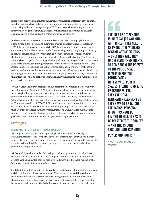range of age groups, from children in elementary schools to adolescent boys and girls. Insights from each have fed into how interventions and approaches are envisioned for working with the other age groups. CORO now takes a life-cycle approach in its intervention on gender equality. It works with children, adolescents and adults in challenging and changing discriminatory gender constructions.

**Vacha** started out as a resource center in Mumbai in 1987, setting up libraries in *basti*s (urban slum clusters) and promoting theatre and storytelling. Registered in 1990, it began to focus on young girls in 1995, bringing in a feminist perspective to empower girls. It still functions as such, documenting, researching and participating in activist forums and networks related to women's struggles for justice within the family and community and through state policies and legislation. The focus on running *basti* programs for young girls emerged from the perspective that if women's lives are to change, then intergenerational work is necessary. Explained one Vacha staff member, "The kinds of issues that women come with, the effort that goes into training and orienting them on how patriarchy works – if we were to do this with the younger generation, then some of these issues might pan out differently." The hope is that interventions at an earlier age would enable young girls to make more informed decisions in the future.

**VOICE 4 Girls**, the fourth urban group but operating in Hyderabad, is a somewhat recent newcomer. Started in 2011, it set out to provide opportunities to young girls from marginalized groups. It works with government, residential and low-cost private schools, with students of classes 7–11 in Andhra Pradesh, Telangana and Uttarakhand, and offering residential camps over summer and winter holidays for up to 35 students aged 11–18. VOICE 4 Girls staff members were unfamiliar (at the time of the interview) with the nature of women's organizing that has taken place over the past three decades in Andhra Pradesh State. The VOICE 4 Girls' mandate is to promote gender equality; its programming reaches out to girls in school settings and girls who are in residential hostels set up by the state government.

## **Strategies**

## DEVELOPING THE SELF AND DEVELOPING CITIZENSHIP

Although all three organizations operating in Mumbai work intensively on building the sense of "self" with girls, it was not their point of entry. Instead, their interventions were set up to offer girls a shared space where they could learn socially accepted skills in English, computers, photography or communication (such as preparation for job interviews).

Akshara additionally included fellowships to Muslim girls at the critical point of secondary education, when girls often drop out of school. The fellowships, which are also available now for college, help girls stall entry into the labor market or the burden of reproductive or care-related tasks.

Skills training and fellowships are typically the initial points of mobilizing adolescent girls in the domains of work or education. The Vacha classes and the Akshara fellowships provide the basis for regularly engaging with girls. But woven into these domains and in these spaces are curricula that cover gender issues related to being a girl: understanding the body, harassment, domestic violence, sexuality and

THE IDEA OF CITIZENSHIP IS INTEGRAL [TO WORKING WITH GIRLS]. THEY NEED TO BE PRODUCTIVE WORKERS, BECOME ACTIVE CITIZENS – ONLY THEN WILL THEY UNDERSTAND THEIR RIGHTS. TO COME FROM THE PRIVATE TO THE PUBLIC SPACE IS VERY IMPORTANT – **PARTICIPATION** IN FESTIVALS, PUBLIC SPACES, FILLING FORMS, ITS PROCEDURES, ETC. THEY ARE FIRST-GENERATION LEARNERS SO THEY HAVE TO BE TAUGHT THE BASICS. PERSONAL GROWTH CANNOT BE LIMITED TO SELF. IT HAS TO BE RELATED TO THE SOCIETY – AND THIS IS DONE THROUGH UNDERSTANDING POWER AND RIGHTS."

VACHA STAFF MEMBER, MUMBAI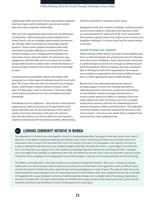relationships. Staff with both of those organizations explained that their inputs work to build girls' sense of self and give them the tools to negotiate relationships.

Over time, the organizations have moved into the dimension of citizenship– collectivizing girls around neighborhoodrelated issues, such as campaigns against sexual harassment, use of public toilets and sanitation and garbage disposal practices. Visits to police stations and interactions with municipal corporation officials are combined with more creative strategies, such as holding photo exhibitions on issues that concern girls (safe toilets, for instance) to urge engagement with the State and its structures. Use of public playgrounds for girls is another way in which the domain of leisure and sport intersect with issues of self and citizenship for girls.

Creating forums that facilitate regular interactions with young girls is a critical aspect of taking forward the work with girls. The Vacha collectives take the outward form of regular classes, which fosters a distinct identity of being "Vacha girls". It is their space, with no restrictions. They learn skills, create theatrical performances, have workshops and build friendships.

Friendships are very important – they become a kind informal support group. After growing out of the age bracket in the group, older girls have set up youth groups in their *basti* to sustain a forum for interaction with peers. For instance, girls from the Akshara and Vacha collectives have formed a separate mixed group with boys being included, called Umang, which is committed to working on girls' issues.

Engagement with girls' families is strategic, revolving around annual events related to what girls have learned or done or communicating the vision and work of the organization. Some groups organize events that might involve mothers and daughters, although it is always clear that the events belong to the girls.

#### BUILDING NETWORKS AND LEADERSHIP

While working within *bastis* is one step toward building some form of collective identity, the groups interviewed in Mumbai have also moved to building a larger network and community of adolescent girls across the city, through an adolescent girls' leadership program aimed at creating a learning community (box 1). Starting out with three organizations, the program now includes ten organizations that work on different issues (one is a tribal-rights group based outside Mumbai).

Based on the many discussions during the research, strategies appear to move from working with girls on addressing practical needs (such as education fellowships) to interventions related to strategic interests (such as access to public spaces and ability to negotiate). One never really replaces the other, but there seems to be a complex simultaneous working with the self, relationships and on practices that govern daily social interactions. The leadership networks facilitate connection-making from the local to the macro context – from one's own issues then to neighborhood issues and then other neighborhoods.

## BOX1) LEARNING COMMUNITY INITIATIVE IN MUMBAI

Ten organizations in Mumbai have come together to work on developing leadership of young girls in the *bastis* (urban slum clusters) they work in, the objective being that adolescent girls identify issues in their community, plan interventions and take action. Each organization selects two girls from each *basti* they work in for a period of one year. The young leaders meet regularly. The forum is a space in which girls bring their issues, plan, develop strategies, take ideas and inputs from others, create budgets and review their work. Girls have taken up a range of issues, from sanitation and garbage disposal to harassment and linking with other campaigns, such as the Right to Pee campaign (a collaborative effort that calls attention to the lack of free, clean and safe public toilets for women in Mumbai). These campaigns involve speaking with locally elected leaders, corporate and municipal authorities and the community.

The leaders involve other girls in their *basti* to select issues and plan and implement activities. After a year, a new group of young leaders takes over and the previous batch become resource persons for the new leaders. Each organization works on different issues, and thus the network of leaders becomes a space for peer learning and engaging on a range of issues. This approach helps the young leaders build their understanding of issues at a macro level and see the links between them. Their capabilities are built up to lead, plan and negotiate with a range of people. A collective of skilled leadership emerges with a collegiate style of functioning. Organizations also learn from each other. The larger collective gives the members the leverage to build on their identity and skills. It gives them the networks, connections and information critical to the development of social capital.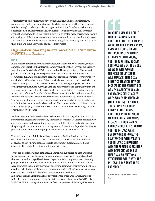This strategy of collectivizing, of developing skills and abilities in strategizing, planning, etc., builds the competencies of girls to further strengthen their sense of self. Providing knowledge, skills and opportunities is the foundation to building adolescent girls' collectives and their own stakes in transforming their lives and giving them an identity in their community. It is critical to make this journey toward citizenship possible; the journey entails the movement from self to other and beyond and then back. Sustained forums or platforms for girls to meet, to grow and practice their skills and perspectives are central to this process.

## **Organizations working in rural areas: Mahila Samakhya, MBBCDS and Sankalp**

### CONTEXT

In the rural contexts visited (Andhra Pradesh, Rajasthan and West Bengal), issues of domestic work, work in the informal economy and labor at an early age are a reality, specifically within tribal and Dalit communities. The rural context is diverse, and gender relations are impacted by geographical location, caste or ethnic relations, community dynamics and changing economic contexts. For instance, preference for a male child in Rajasthan among Sehariya tribal groups has in recent decades become an outcome or part of a shift to the mainstream practice of giving dowry (to the bridegroom) at the time of marriage. Both are new practices in a community that are in sharp contrast to existing Sehariya practice of paying bride price and of showing no marked preference for male children. The survival of families in the community has been and is still based on the subsistence tasks performed by women and girls. The migration of men to cities and aspirations to more mainstream practices has led to a shift in how women and girls are valued. This change has been quickened by the influx of sonography centers in Kota city, which has resulted in a declining sex ratio over the past two decades.

At the same time, there also has been a shift toward accessing education, and the participation of girls has dramatically increased in rural areas. Greater connectivity and communication has resulted in increased mobility of boys and girls. However, the poor quality of education and the payment of dowry for girls pushes families to pull girls out of school after upper primary levels and get them married.

The large, state-run Mahila Samakhya program in Andhra Pradesh has done substantive work over the past two decades with Dalit rural women on issues as diverse as agricultural wages, access to government programs, caste-based discrimination and different forms of sexual violence.

There are large federations, both Mahila Samakhya supported and separate selfhelp groups, involving thousands of women from the village to the district levels that are run and managed by different departments in the government. Self-help groups in Andhra Pradesh have been forums in which political parties in power have attempted to mobilize the vote of poor, rural women in their favor during state elections. Alcoholism, violence, poor representation in political forums, caste-based discrimination and hard labor characterize women's lived reality. In a similar vein, in Birbhum district of West Bengal, there are a large number of self-help groups, some supported by the state government and some by NGOs like MBBCDS. This is a drought-prone area with soaring rates of violence against women

TO BRING UNMARRIED GIRLS TO OUR TRAINING IS A BIG CHALLENGE. THE FREEDOM WITH WHICH MARRIED WOMEN WORK, UNMARRIED GIRLS DO NOT.... THE PROBLEM OF SEXUALITY OF GIRLS IS TREMENDOUS, AND THROUGH THIS, SOCIETY CONTROLS WOMEN. THE MORE WE WORK WITH WOMEN, THE MORE GIRLS' ISSUES WILL SURFACE. THERE IS A DIRECT CORELATION BETWEEN INCREASING THE STRENGTH OF WOMEN'S SANGATHANS AND ADDRESSING GIRLS' ISSUES. WHEN WOMEN UNDERSTAND [THEIR RIGHTS] THEY REBEL –THEY DON'T SIT QUIETLY. HOWEVER, THE BIGGEST CHALLENGE IS TO GET YOUNG MARRIED GIRLS INTO CAMPS BECAUSE THE HUSBAND IS ANXIOUS ABOUT HER SEXUALITY AND THE IN-LAWS WANT HER TO WORK AT HOME. THE RELATIONSHIP WITH PARENTS AND IN-LAWS IS DIFFERENT; WITH THE FORMER, GIRLS HELP WITH DOMESTIC WORK BUT THERE IS ALSO EMOTIONAL ATTACHMENT, WHILE WITH THE IN-LAWS, GIRLS [ARE] THEIR PROPERTY."

SANKALP STAFF MEMBER, **KOTA**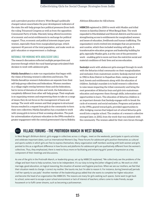and a prevalent practice of dowry. West Bengal's politically charged nature exacerbates the poor development indicators of the state; the self-help groups face political pressures (from both the ruling Trinamool Congress as well as from the opposition Communist Party of India–Marxist), being offered incentives of economic and social entitlements in exchange for political support. Thus, economic and political interests impact poor women, especially those from marginalized groups, which represent 40 percent of the total population, and make work on girls' education or empowerment a challenge.

#### RATIONALE FOR WORKING WITH ADOLESCENT GIRLS

The research discussions reflected multiple perspectives and journeys through which the rural-based groups articulated their decision to work with adolescent girls.

**Mahila Samakhya** is a state-run organization that began with the vision of forming women's collectives and forums. The Mahila Samakhya women's federations are separate from their self-help group collectives and federations. Women members in a village might overlap between these and the federations, but in terms of domains of action and work, the federations are completely different from other self-help groups. Their emphasis is on organizing women and empowering them to take on a range of issues; they do not focus on the management of loans and savings. The work with women and their progress to structured forums resulted in a request from girls in the community to form their own collectives. Mahila Samakhya has a mandate to work with young girls in terms of their accessing education. The push for universalization of primary education in the 1990s resulted in greater engagement with the central government's Sarva Shiksha Abhiyan (Education for All) scheme.

**MBBCDS** registered in 2000 to work with Muslim and tribal women in Sainthia District of West Bengal State. The work expanded to Murshidabad and Howrah districts and focuses on strengthening access to entitlements for marginalized women and issues of education, livelihoods and human trafficking. The organization's work evolved into strategies that are preventive and curative, which then included working with girls. A transformative education program and leadership building for girls, especially Muslim girls, is at the core of the preventive work – enabling girls to move out from the restrictive social and material conditions of their lives and access education.

**Sankalp's** work with adolescent girls emerged through its work with the Sehariya tribal community on their marginalization and exclusion from mainstream society. Sankalp started work in 1982 in Kota District in Rajasthan State, raising issues of land, forests and entitlements along with the education of children. Sankalp's mandate is to build women's collectives to raise issues impacting the tribal community and bring the next generation of Sehariya boys and girls into mainstream education and empower them through skills, information and opportunities to learn. The education of Sehariya children is an important domain that Sankalp engages with to break the cycle of economic and social exclusion. Programs and projects in the 1990s, geared toward girls, provided opportunities to offer bridging courses that helped out-of-school Sehariya girls enroll into a regular school. The creation of a women's collective emerged later, in 2002, from the work that was initiated with the community. The women asked for their own forum through

## BOX2 VILLAGE FORUMS - THE PROTIRODH MANCH IN WEST BENGAL

In West Bengal's Birbhum district, girls engage in collectives across 17 villages, meet on the weekends, participate in sports activities and celebrate important dates, such as International Women's Day. These forums for adolescent girls position themselves as cultural and sports outlets in which girls are free to express themselves. Many organization staff members working with both women and girls pointed to this as a significant difference in how forums and platforms for adolescent girls are qualitatively different from the women's collectives. Thus, they emphasized, there is need to focus more on facilitating and enhancing girls' power of expression as a key component of their meetings and discussions.

As one of the girls in the Protirodh Manch, or leadership group, set up by MBBCDS explained, "We collectively see the problems of the village and learn how to help ourselves, how to be independent. It's our duty to bring the [other villagers] with us. We work on child marriage, good education, on logical reasoning, the situation of women and hygiene practices. When we see our mothers, we feel that their situation needs to change. I correct my mother. She taunts me, but I'm able to reason it. For instance, during [menstrual] periods I tell her openly to use pads." Another member of the leadership group added that she wants to complete her higher education and become the head of an organization like MBBCDS. The reasons are many for girls seeking such spaces. Some want to get back to school, some want to escape a poor school environment or lack of interest of teachers; others come to make friends, escape housework or to fulfil career dreams, such as becoming a policewoman.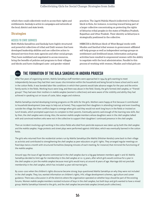which they could collectively work to access their rights and entitlements. Sankalp is active in campaigns and networks at the local, district and state levels.

## **Strategies**

## ACCESS TO STATE SERVICES

Both Mahila Samakhya and Sankalp have highly structured and powerful collectives of tribal and Dalit women that have developed leadership abilities and use collective action to demand services from state agencies and other social groups. They have mobilized and negotiated to access resources, bring the benefits of policies and programs to their villages and blocks and have challenged caste- and gender-related

practices. The Jagriti Mahila Manch (collective) in Mamuni block in Kota, for instance, is moving toward being part of a larger collective concentrating on protecting the rights of Sehariya tribal peoples in the states of Madhya Pradesh, Rajasthan and Uttar Pradesh. Their identity as Sehariyas is strategically positioned in the collective.

MBBCDS in Birbhum block of West Bengal works with Muslim and Santhal tribal women in government-affiliated self-help groups as well as independent savings groups on entitlement and livelihood issues. Information and group activities have resulted in empowered women with the ability to negotiate with the local administration. Parallel to this process of working with women, Muslim and tribal girls are



## **BOX3** THE FORMATION OF THE BALA SANGHAS IN ANDHRA PRADESH

After five years of organizing women, Mahila Samakhya staff members were approached in 1994 by girls wanting to meet independently because they had their own issues: discrimination within the household and being forced to leave school and to work in the cotton fields. It was bonded labor-like conditions in which their parents would take advance wages for the year and the entire family works in the fields. Working hours were long, and there was abuse in the field. Slowly, the girls formed *cheli sanghas,* or "friends' groups". They had seen their mothers in *mahila sanghas* (women's collectives) and were aware of the visibility and ability they had achieved in speaking out on issues of caste, labor, wages and violence.

Mahila Samakhya started developing training programs on life skills for the girls. Mothers were happy at first because it contributed to household development (new ways to help out at home). They supported their daughters in attending trainings and even travelling outside the village. But then conflicts began to emerge when girls said they would not work long hours in the fields or insisted on lunch breaks, which prompted supervisors to complain to their parents. Eventually parents said enough of the learning new skills. But by then, the *cheli sanghas* were strong. Also, the women *mahila sangha* members whose daughters were in the *cheli sanghas* talked with and convinced mothers who were not in the collective to support their daughters' continued presence in the *cheli sangha*.

Then an incident involving a girl working in the cotton fields who died from pesticide exposure was taken up by both the *cheli sanghas* and the *mahila sanghas*. Huge protests and street plays were performed against child labor, which was eventually banned in the cotton fields.

The girls who returned from the residential centers run by Mahila Samakhya (the Mahila Shikshan Kendra) came back to their village as activists and contributed to strengthening the *cheli sanghas* as peer educators on girls' rights. They arranged regular meetings on fixed days twice a month with structured formalities (keeping minutes of each meeting, for instance) that mirrored the functioning of the *mahila sanghas.*

Around 1997, the issue of age became controversial in the *cheli sanghas* due to a big gap between members aged 11 and 18. Mahila Samakhya decided to limit age for membership in the *cheli sanghas* at 10–15 years, after which girls would continue for a year in the *cheli sanghas* or join the *mahila sanghas* because most girls would marry at around 16 years of age. Marriage did not preclude membership in the *cheli sanghas*, which has included 14-year-old married girls.

By 2000–2001 when the children's rights discourse became strong, boys questioned Mahila Samakhya on why they were not included in the *cheli sangha.* They, too, wanted information on children's rights, HIV, village development schemes, agriculture and career guidance. There was a discussion in all the districts where the organization operated on whether boys should be part of the existing forums. Women *mahila sangha* members resisted inclusion of boys in the *cheli sanghas,* but both boys and girls wanted to have a mixed group. Mahila Samakhya listened to the girls, and the *cheli sanghas* became *bala sanghas* (mixed youth collectives).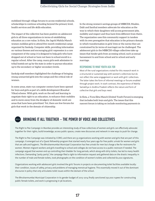mobilized through village forums to access residential schools, scholarships to continue schooling beyond the primary level, health services and life skills education.

The impact of the collective has been positive on adolescent girls in all three organizations in terms of establishing education as a core value. In Kota, the Jagriti Mahila Manch women mobilize girls to attend five-month residential camps organized by Sankalp. Computer skills, providing information on various themes and encouraging girls' expression is a core component of the camp; it is designed to help girls who have dropped out of school or have not been to school enroll in a regular school. After the camp, many girls seek admission to tribal hostels set up by the state in order to pursue education up to the secondary or higher secondary levels.

Sankalp staff members highlighted the challenge of bringing young unmarried girls into the camps and the critical role of women.

In some areas, state-run computer centers have been opened for boys and girls as part of a skills development (Kaushal Vikas) scheme. With girls, work on the self and learning to negotiate their right to an education, to enhance their mobility and to move away from the drudgery of domestic work are areas that have been prioritized. Yet, there are few forums for girls that work in the domain of citizenship.

In the strong women's savings groups of MBBCDS, Muslim, Dalit and Santhal members advocate for education as the way in which their daughters will access government jobs, mobility and respect and thus have lives different from theirs. The organization uses this community support in tandem with its own prerogative that education is the primary domain in which transformation in girls' lives or the norms they are constrained by (in terms of marriage) can be challenged. The adolescent girls in the MBBCDS village collectives take up issues that hinder girls from accessing school, such as sexual harassment to and from school and in school and early marriage.

#### RESPONDING TO WHAT YOUTH ASK FOR

Most of the rural organizations visited for this research work in a structured or sustained way with women's collectives but do not reflect the same engagement or work with girls' collectives. The latter takes the form of informal meetings or forums enabled through project work. In stark contrast, the experience of Mahila Samakhya in Andhra Pradesh reflects the nature and form of collective that girls and boys need.

In Kota, a Yuva Ekta Manch (United Youth Forum) is emerging that includes both boys and girls. The issues that this nascent forum is taking on include monitoring payments in

## $\overline{B_{\text{BOX}}4}$  BRINGING IT ALL TOGETHER - THE POWER OF VOICE AND COLLECTIVES

The Right to Pee Campaign in Mumbai provides an interesting study of how collectives of women and girls can effectively advocate together for their rights, build knowledge, access public spaces, create new discourses and network in new ways to push for change.

The Right to Pee Campaign was initiated by CORO, and there are 33 organizations working with women and girls that are part of this campaign. It emerged out of a Quest fellowship program that started nearly four years ago for free public urinals for women and girls that are safe and hygienic. The Bhruhanmumbai Municipal Corporation has free urinals for men but charge a fee for restrooms for women. Women migrant workers and girls travelling to school and colleges do not have access to a public restroom if needed. The campaign argued that women end up controlling their bladder for long periods, which along with dirty toilets, has led to many health infections. Demanding "potty parity", the campaign filed a right-to-information request and gathered data on the drastic inequality in the number of male and female toilets, took photographs on the condition of women's toilets and collected 60,000 signatures.

Organizations working with adolescent girls involved the girls' forums in projects on documenting toilet facilities available locally: their condition, issues of safety, privacy and problems of managing menstrual hygiene. This essentially moved it out of the dominant discourse in policy that only articulates toilet issues within the domain of the school.

The Bhruhanmumbai Municipal Corporation in its gender budget of 2013–2014 finally sanctioned 750,000 rupees for constructing public female toilets, and work is progressing in 96 locations.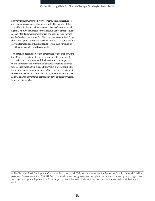a government guaranteed-work scheme,<sup>8</sup> village cleanliness and pension payments, which is actually the agenda of the Jagriti Mahila Manch (the women's collective) – not a "youth" agenda. Its own issues and concerns have yet to emerge. In the case of Mahila Samakhya, although the youth group formed on the heels of the women's collective, they were able to forge their own agenda and work on their interests. This process has carried forward with the creation of formal *bala sanghas,* or youth groups of girls and boys (box 3).

The detailed description of the emergence of the *cheli sanghas* (box 3) and the nature of emerging issues, both in terms of action in the community and the internal structure, point to the importance of working on both external and internal targets (Batliwala, 2013, p. 105). Externally, a target can be the State or other social groups; internally, it can be the nature of the structure itself. In Andhra Pradesh, the nature of the *cheli sangha* changed over time, bringing in boys to transform itself into the *bala sangha*.

<sup>8</sup> The National Rural Employment Guarantee Act, 2005, or NREGA, was later renamed the Mahatma Gandhi National Rural Employment Guarantee Act, or MGNREGA; it is an Indian law that guarantees the right to work in rural areas by providing at least 100 days of wage employment in a financial year to every household whose adult members volunteer to do unskilled manual work.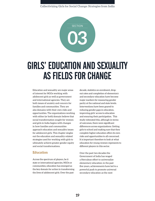

## GIRLS' EDUCATION AND SEXUALITY AS FIELDS FOR CHANGE

Education and sexuality are major areas of interest for NGOs working with adolescent girls as well as government and international agencies. They are both issues of anxiety and concern for families and communities. They are also domains with their own risks and opportunities. The organizations working with either (or both) domain believe that social transformation sought for women and girls in India begins with changes in how families and communities approach education and sexuality issues for adolescent girls. This chapter singles out the education and sexuality-related strategies used for working with girls to ultimately achieve greater gender equity and social transformations.

## **Education**

Across the spectrum of players, be it state or international agencies, NGOs or communities, education has emerged as the key domain for action in transforming the lives of adolescent girls. Over the past

decade, statistics on enrolment, dropout rates and completion of elementary and secondary education have become major markers for measuring gender parity at the national and state levels. Interventions have been geared to reducing gender gaps in education, improving girls' access to education and ensuring their participation. This study reiterated this, although in terms of outcomes, there were significant differences across organizations. Getting girls to school and making sure that they complete higher education offers its own risks and opportunities to all concerned. It is important therefore to look at what education for young women represents to different players in this sector.

Over the past two decades the Government of India has waged a Herculean effort to universalize elementary education; in the past five years, achievements have led to a powerful push to promote universal secondary education as the next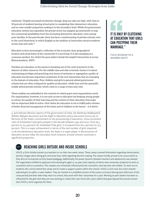milestone.9 Despite increased enrolments, though, drop out rates are high, with close to 50 percent of students leaving school prior to completing their elementary education and an even smaller proportion making it to the secondary level. While the government education system has expanded, the private sector has stepped up extensively to reap the commercial possibilities from the increasing demand for education, even among poor families. In the past decade, there has been a mushrooming of private schools, even in the rural hinterland, in which English as the medium of instruction attracts students across class and caste.10

Education is thus increasingly a reflection of the economic class, geographical location and social status of the community it is servicing. It is also emerging as a consumer product, for which the poor jostle to break the implicit hierarchies of access (Ramachandran, 2007).

Families see education as the means to breaking out of the cycle of poverty in the absence of other resources. For the middle class and elite economic classes, it is about maintaining privilege and practicing new forms of exclusion or segregation; quality of education has become important constituent of the new hierarchies that are emerging in the domain of education. Poor children and girls in general attend government schools that are often critiqued for quality of education, while boys and the upwardly mobile attend private schools, which come in a range of sizes and costs.

These realities are embedded in the contexts in which grass-roots organizations work. For organizations, however, it is not only access to education but keeping young people in school, the quality of their learning and the content of their education that make this an important field of action. Girls' desire for education is not to fulfill policy dreams of better financial management of the home and of children in the future – it is tied to

9 Joint Review Mission reports of the government of India, the *Rashtriya Madhayamik Shiksha Abhiyan* document and the *Right to Education* policy document (2010) are reflections of the State's commitment to the provisioning of education. Gross enrolment ratio of Scheduled Caste girls jumped in the decade between 1991 and 2001, from 63.5 percent to 75.5 percent; for Scheduled Tribe girls, it increased from 60.2 percent to 73.5 percent. This is a major achievement in terms of the real number of girls impacted. 10 At the elementary education level, the State is a major player in the provision of education across India; the secondary level, however, private schools constitute a significant proportion.



## REACHING GIRLS OUTSIDE AND INSIDE SCHOOLS

VOICE 4 Girls initially trained 200 teachers to run their two-week camps. These camps covered information regarding menstruation, positive images about being girls and some basic skills regarding decision making. The camps initially proved to be unsuccessful as they did not incorporate activity-based pedagogy. Additionally, the power dynamic between teachers and adolescents was skewed. The organization shifted its approach and trained girls aged 13–24 years (the majority of whom were university students) to work as counselors and co-counselors. The campers are immensely influenced by the counselors, who become role models. To reach out to students who cannot attend the camps and to create a support system within the schools, VOICE 4 Girls now also trains teacherselected girls as *sakhis*, or peer leaders. They are trained in a simplified version of the camp curriculum (during each afternoon of the camp period) and then when they return to school, they work with their classmates for a year. Working as peer leaders has been so influential for the girls that they are now working to create their own forum (for 3,600 *sakhis*) that goes beyond the annual reunion that VOICE 4 Girls organizes for them.

## IT IS ONLY BY CLUTCHING AT EDUCATION THAT GIRLS CAN POSTPONE THEIR MARRIAGE."

FIELD WORKER IN A MUMBAI BASTI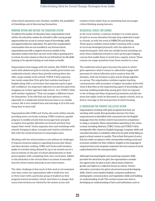what school represents *now*: freedom, mobility, the possibility of friendships and of discovering themselves.

#### WORKING WITHIN AND OUTSIDE THE EDUCATION SYSTEM

To address the quality of education issue, organizations work within the education system (in schools) to offer young people opportunities for access to certain types of knowledge, skills and opportunities for expression. For girls from marginalized communities who are not enrolled in any formal school, organizations provide a support structure outside of the education system that they can turn to for help in gaining entry to school, for extra classes so they do not fall behind, for life skills training or for special training on such issues as health.

Organizations that engage with the system, like VOICE 4 Girls, work with adolescent girls in schools, mostly government-run residential schools, where they provide training (they also offer camps outside of the school). VOICE 4 Girls organizes two-week camps (box 5) for girls that combine teaching of English along with a curriculum that empowers girls to gain self-confidence. An important objective is to prevent girls from dropping out as they approach high school. As a VOICE 4 Girls staff member explained, "They can imagine a different future for themselves. To be told that you have options is critical, especially in a residential school because there is no outside contact, life is very isolated here and marriage at 16 is the only thing they've been told."

Organizations like CORO and Vacha also work within schools, providing extra-curricular training. CORO conducts a gender program in middle schools that encourages boys and girls to explore how gender identities are formed and how they impact their world. Vacha organizes fairs and workshops with schools, bringing in ideas, concepts and creative activities to link with the world of learners in meaningful ways.

Working with the school system is not without its challenges. It requires immense patience regarding bureaucratic delays and slow decision-making. CORO and Vacha staff members spoke of activities being delayed by up to six months out of a lack of interest on the part of school administrators or their preoccupation with completing their own curriculum. Added to this limitation is the virtual silence on issues of sexuality that the school system demands of any intervention.

The other challenge is that much of this work is not sustained over time; rarely are organizations able to build over two or three years with a particular group of students as they progress toward secondary school. And there is a danger that many interventions are viewed by the system as fun and

creative events rather than as something that encourages critical thinking among learners.

#### RESIDENTIAL SPACES FOR CHANGE

In the rural context, a common strategy is to create spaces for girls to access education through long residential camps or schools, as with the work of MBBCDS and Sankalp. These spaces combine school subject teaching with a range of curricula developed primarily with the objective of empowering girls. Girls who are outside formal schooling can enter these residential schools to catch up through bridging courses that enable them to enroll into a regular school. These courses can range anywhere from three months to a year.

The residential school space becomes the point in which girls experience what it means to collectively engage with processes of critical reflection and to analyze their life situation, with the freedom to play and do things together as a group. The organization combines regular teaching commensurate with secondary to higher secondary level with what it describes as the empowering aspect of knowledge and learning, building leadership among girls. Girls are exposed to the writings and ideas of pioneering feminists and dip into areas that might rarely be discussed in regular schools, such as dowry, marriage or the local practice of witch hunting.

## A CURRICULUM FOR FEMINIST COLLECTIVE ACTION

Organizations working with girls recognize that they are working with mostly first-generation learners. For them, empowerment is identified with command over the English language; from the written word it has moved to competency in using a computer. Many organizations operating in the urban context, including Akshara, CORO, Vacha and VOICE 4 Girls, strategically offer classes in English language, computer skills and remedial education to establish collectives for girls while filling in gaps in school content or quality. This is their first point of entry that has wider acceptance with communities seeking social and economic mobility for their children. English as the language of empowerment and computers represent the new arenas of social capital desired for the next generation.

Although learning English and mastering computer skills provides the attraction for girls, the organizations consider the opportunity for girls to learn about issues related to gender and rights in a collective forum as critical. Vacha's education curriculum for girls is structured around developing skills, which covers spoken English, computer proficiency, photography, communication and negotiation skills and building an understanding of self. This content moves over time to developing an understanding of laws and institutions, such as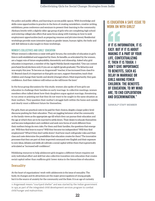the police and public offices, and learning to access public spaces. With knowledge and skills come opportunities to practice in the form of creating newsletters, creative writing, exhibitions, press conference and seminars to present their learning to the community. Akshara (works with a slightly older age group of girls who are completing high school and entering college) also offers that same focus along with training on how to seek employment opportunities (such as preparing resumes and job interviews). Residential workshops provide more intensive inputs on gender issues, human rights, the body and self. Self-defense is also taught in these workshops.

### WOMEN'S COLLECTIVES AND GIRLS' EDUCATION

Where women's collectives co-exist with girls' forums, the centrality of education in girl's lives is well established and supported by them. Its benefits, as articulated by the women, are a happy mix of future employability, domesticity and citizenship. Asked why girls' education is important, a member of the Jagriti Mahila Samiti responded, "One can contest *panchayat* [local] elections only if you are an eighth [grade graduate]. The Sehariya seat was empty this year. To become an Anganwadi<sup>11</sup> teacher, it has increased from class 8 to 10. Beyond class 8, it's important so that girls can earn, support themselves, teach their children and change their family and slowly [change] others. Most importantly, they gain confidence. And then violence will reduce as she will know the laws."

In the focus group discussions for this study, women also spoke of how girls use education to challenge their families on early marriage. In collective meetings, women members often talked about how their daughters argue against marriage, threatening to run away or pointing out that they do not want to be caught in the same situation as their mothers. They question their mother's struggle both within the home and outside and clearly want a different future for themselves.

For girls, there are practical costs to be paid for their choices, despite a larger policy-level discourse pushing for their education. They are juggling between what the community or the family views as the appropriate age till which they can pursue their education and the age at which they are to be married to settle down. Their desire to educate themselves and become independent and confident and seek new forms of work different from their mothers brings its own risks. For them and their families, the questions that emerge are: Will they find boys to marry? Will they become too independent? Will they find employment? What if they don't settle down? And how much will gender roles and their class and caste determine the possibilities that education creates for them? The innovative processes that they are part of, their improved command over English and their exposure to new ideas, debates and skills all cultivate a social capital within them that is generically articulated as "increased self-confidence".

Mobilizing resources to help adolescent girls imagine a different future requires not only individual effort and skill but also collective transition into education that creates social capital rather than reaffirms girls' lower status in the hierarchies of education.

## **Sexuality**

At the heart of organizations' work with adolescents is the issue of sexuality. The body, its changes and its attractions are the major preoccupations of young people, but it is the source of anxiety for the community and the State. It is an age of curiosity

11 Anganwadi means "courtyard shelter" and was started by the Indian government in 1975 as part of the integrated child development services program to combat child hunger and malnutrition.

## IS EDUCATION A SAFE ISSUE TO WORK ON WITH GIRLS?

IF IT IS INFORMATION, IT IS EASY. BUT IF IT IS ABOUT MAKING IT A PART OF YOUR LIFE, CONTEXTUALIZING IT, THEN IT IS TOUGH. I DON'T GIVE IMPORTANCE TO BENEFITS, SUCH AS DELAY IN MARRIAGE OR GIRLS HAVING FEWER CHILDREN. THE BENEFITS OF EDUCATION, TO MY MIND ARE, TO END EXPLOITATION AND DISCRIMINATION."

#### SANKALP STAFF MEMBER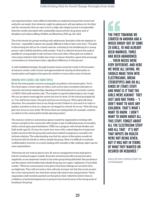and experimentation, when different identities are explored and parental control and authority are tested. And whatever might be adolescents' self-perceptions, for the State and the community they are seen to be in a high-risk category, prone to irresponsible behavior mostly associated with undesirable sexual activity, drug abuse, lack of discipline and violence (Bhog, Mullick and Bhardwaj, 2010, pp. 221–264).

This is the terrain for groups working with adolescents. Sexuality is like the elephant in the room – impossible to ignore yet equally difficult to hide or take cover from. "The path to discovering the self can be a lonely exercise, confusing if not bewildering for a young person," said a Mahila Samkhya staff member. "And it is collective forums that make it possible for young people to talk and learn from each other. Often girls are unable to voice issues related to their bodies due to fear or shame; therefore, spaces that encourage conversations on these issues make a significant difference in this process."

A well-established strategy, through feminist action across the world, is the formation of resource centers, with content and opportunities for sharing of information on menstruation and hygiene that opens the window to many other areas of interest.

## WORKING WITH SCHOOLS AND TABOO TOPICS

By far the most popular concerns among girls are puberty and menstruation. Yet in the school space, certain topics are taboo, such as how does conception take place or romantic and sexual relationships. Speaking of the limits placed on curricular content, a VOICE 4 Girls staff member said, "The chapter on special relationships is very tough. We can say sperm meets egg but cannot say how it's done. Or the school principals tell us, 'You will be the reason why girls and boys are having sex.' When girls talk about attraction, the counselors have to say things we don't believe in, but need to in order to position ourselves so that our camps are not stopped in schools. So we say, 'Wait till camp gets over, focus on your study.' We know there are missing links; for example, condoms are absent in the contraceptive family planning session."

The resource centers or autonomous spaces created by organizations working with women and girls in the community offer greater scope of addressing issues of sexuality, while a school space poses limitations. CORO ran a program with female Muslim and Dalit youth aged 15–25 years for nearly four years with a stated objective of improved health outcomes. But the group discussed issues related to pregnancy, sexuality and intimate relations. The understanding was that the nature of discussions would not be shared with the family or others outside the group. Often it is difficult to maintain confidentiality, however; as a result, dealing with sexuality is like walking a tight rope for some organizations.

"Hormones do not wait for girls to turn 18, and an unsupportive home leads girls to look for emotional support outside. Romantic involvements affect group formation negatively, as one elopement results in the entire group being disbanded. But persistence and discussions with families help rebuild the group once again," explained a Vacha field worker. "What we communicate to the girls is that these feelings are not sinful, they are legitimate. They will not reduce, they will only increase, but that they must not give into a boy's demands for fear that their refusal will result in him losing interest." Many organization staff members pointed out that girls in their collectives inform them in confidence of potential elopements or pressure from boys because of the strong sense of bonding in the group.

THE FIRST TRAINING WE STARTED IN ANDHRA HAD A MIXED GROUP. OUT OF SOME 20 GIRLS, 10 HAD ALREADY BEEN MARRIED, THREE HAD BEEN ABANDONED. … THEIR NEEDS WERE VERY DIFFERENT. AND HERE WE WERE ALL SAYING, WE SHOULD MAKE THEN INTO ELECTRICIANS, BREAK STEREOTYPES AND DO ALL KINDS OF [THAT] STUFF. AND WHAT IS IT THAT THE GIRLS WERE ASKING? THEY JUST SAID ONE THING – 'I DON'T WANT TO HAVE ANY CHILDREN. THAT'S WHAT I WANT TO KNOW. I DON'T WANT TO KNOW ABOUT ALL THIS STUFF, FORGET ABOUT ALL THE ELECTRICIAN STUFF AND ALL THAT.' IT'S NOT THAT INPUTS ON HEALTH WERE NOT BEING GIVEN, BUT IT WAS NOT IN TERMS OF WHAT THEY WANTED OR DESIRED OR REQUIRED."

EDUCATION CONSULTANT IN HYDERABAD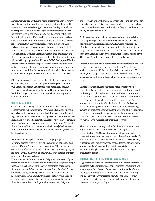Direct intervention within the home or family of a girl is rarely part of an organization's strategy when working with girls. The forum or collective is the supportive space that is provided, but the emphasis is on building each girl's ability to negotiate with her family. Girls in the group also do not intervene within the home if a girl is in trouble but will support one another in their college or school or in finding work or in their romances. There is recognition that the vulnerability of girls is high and that girls are even lower than women in the power hierarchy in the family. And legally, they are not adults. As minors, such actions can lead to girls losing shelter and support from the family, and this is what determines the arms-length policy that organizations follow. What groups, such as Akshara, CORO, Sankalp and Vacha, do is to work on creating support for girls within the family by setting up mother-daughter events, organizing annual events for families and involving the women's collectives in building an ecosystem to support girls' voices and choices. But this is not easy.

Often, women's collectives cannot handle the energy and issues of girls. They find it difficult to cope with the open manner in which girls might talk. Girl's issues, such as tensions around love, marriage, choice, caste, religion and life style (wearing no *bindi,* but bangles and jeans) are not seen by women's groups as significant at times.

#### CHOICE IN MARRIAGE

Girls' choice in marriage is a tough arena that even women's collectives are reluctant to tread. When asked about their stand on girls running away to marry outside their caste or religion, the highly empowered women of the Jagriti Mahila Samiti collective smiled and responded diplomatically; said one woman, "Romance problems? We have separate camps for girls and boys. We talk to them. There will be no romance, only *badnaami* [a bad name or reputation]. Inter-caste marriages happen in the villages not here [in the collective]."

Women who were part of MBBCDS savings groups in Birbhum district, who were strong advocates for education and forging different futures for their daughters, didn't show such enthusiasm when asked about choice of marriage, even going so far as to say that girls were on their own if they decided to marry someone of their own choice.

There is a need to look at the issue of right to choose not only in terms of individual cases but as a collective issue for young people because it is a challenge to the power of families, parents, the State and the law. When people younger than 18 make informed choices regarding marriage, a contradiction emerges. A staff member with Mahila Samkhya pointed out that while they do acknowledge the larger discourse of preventing early marriage, the dilemma for their youth group has been cases of right to

choose (when and with whom) in which either the boy or the girl is legally underage. *Bala sangha* (youth collective) members have tried to raise these issues, but there is the danger that they will be totally isolated or sidelined.

Such cases are common in urban areas, where the possibility of disappearing in the vastness of the metropolis seems like adequate cover. According to an Akshara staff member, "In Mumbai, there are girls who are not bothered at all about where they come from in terms of their caste or religion. Their dream is to go to college and fall in love. Some do rebel, get a job and leave." This is true for other areas too, both rural and urban.

Communities often make decisions and arrangements to facilitate the marriage of girls as a means of "protecting" their honor, with enforcement officials turning a blind eye to the law. Yet, when young people raise these issues or choose to marry, they are subjected to threats of legal action as a means of disciplining them.

Several organization staff members stated that they do not explicitly take on such cases of early marriage or those related to choice, particularly those that involve inter-caste or interreligious marriage, out of fear that backlash from the community could threaten the work they do with girls and boys. The strength and unanimity of social institutions on the issue of choice in marriages is evident from the threats of cases being slapped on organizations and the fear of honor killing, abduction, etc. The few organizations that do take on these cases separate their staff so that those who work on such cases are different from those who mobilize girls into their forums.

The nature of support required is also different because there is greater legal work that is involved in marriage cases. In those situations, NGOs seek the support of women's rights organizations or legal resource groups to help girls in need or for advice on how to proceed on certain issues. And in such cases, it becomes even more important that collectives of women are strengthened and sustained so that they can take on the messy work of tackling issues of sexuality, desire and marriage in changing contexts.

## SHIFTING STRATEGIES TO ADDRESS EARLY MARRIAGE

Organizations' work on early marriage is also more indirect. As discussed in the education section, organizations support and encourage girls to dream of new opportunities and different life trajectories by pursuing education. Situations regarding the intensity of early marriage vary, though in most groups the majority of girls are married or under pressure to marry between 16 to 18 years of age.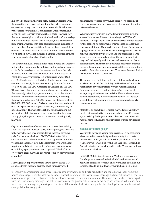In a city like Mumbai, there is a delay overall in keeping with the aspirations and expectations of families, where women's employment is key to sustaining the household. But this also varies across communities. Families from Uttar Pradesh and Bihar still seek to marry their daughters early. However, now there are cases of girls continuing their education after marriage while staying with their in-laws. Girls, too, have expectations from their partners as they seek certification and qualification for themselves. Many want their dream husband to work in an office or a small business and provide for them to have a room (*kholi*) of their own. Class mobility is a major aspiration of those who possess educational certificates in the city.

The situation in rural areas is much more diverse. For instance, in the Sehariya community in Rajasthan the problem is not so acute. Early marriage is not the issue as much as is the right to choose whom to marry. However, in Birbhum district in West Bengal, early marriage is a critical issue among Dalit and Muslim girls, and the doctrine of resisting early marriage seems to be strongly driven home with girls in the forums created by the MBBCDS. According to the head of MBBCDS, "Dowry is very high here because girls are not respected. In this system [patriarchy], rape is common, and so there is fear of honor – therefore early marriage. If the boy is working, the dowry is as high as [900,000 rupees]; day laborers ask for [200,000–300,000 rupees]. Girls are unwanted everywhere. If one has to pay [300,000 rupees] for dowry, then why pay for her education?" The work through the forums, rippling out to the kinds of decisions and peer counseling that happens among girls, thus pivots around the issues of resisting early marriage.

Organization staff members raised the issue of how talking about the negative impact of early marriage on girls' lives was not always the best way of articulating the issue to young girls. For instance, the head of MBBCDS admitted, "Our curriculum used to be more critical and aggressive. But when we realized that most girls in the classroom who were about to get married didn't come back to class, we began focusing on building a perspective on marriage itself. We don't focus on stopping early marriage, but rather focus on conversations around it."

Marriage is an important part of young people's lives; it is associated with intimate desires and, at times, is viewed

as a means of freedom for young people.12 The domains of conversations on marriage cover an entire gamut of relations between the sexes.

Where groups work with married and unmarried girls, the areas of interest are different. According to a CORO staff member, "We kept the married and unmarried women separate for the sessions, no matter what their age was, because their issues were different. For married women, it was the pressures of pregnancy and in-laws. With water being provided in cans at home, their mobility decreased. For the unmarried it was about the tensions around marriage; they also shared that they can't talk openly with the married women out of fear of confidentiality." The most disempowered group that emerged through the course of interactions with different organizations was that of married young women. They were the most difficult to include in women's collectives.

The demands on their time, both by their husbands who are also keen to control their mobility and by their in-laws, make mobilization of young married women most challenging. Confusion has emerged in the *bala sanghas* regarding at what point girls who are married should enter the women's collective: after they marry or after they turn 18? The issue is the difficulty of mapping the precise moment when girls become women.

Mobility is an even bigger issue for married girls. Until they finish their reproductive work, generally around 30 years of age, married girls disappear from collective action into their marital home to fulfill the roles expected of them as wife and mother.

#### WORKING WITH MIXED GROUPS

Work with boys and young men is critical in transforming ideas related to masculinity and femininity that create inequalities. CORO, Mahila Samakhya, Vacha and VOICE 4 Girls moved to working with boys over time (others, like Sankalp, started out working with both). There are multiple reasons for this shift.

In CORO, Mahila Samakhya, and Vacha, the push came from boys who wanted to be included in the forums and activities organized for girls. They were keen to talk about issues related to sexuality, growing up, health, HIV and

12 Economic considerations and processes of control over women's and girls' productive and reproductive labor frame the norms of marriage. Over the past two decades, research or work on the institution of marriage and its implications on the lives of women and girls across class and caste has slowed down in the women's movement. The movement has been disengaged with the issue of early marriage. The politics, particularly the gender politics, of early marriage are absent in a discourse dominated by representing early marriage as a social evil that can be dealt with through the threat of legal action and behavioral change (Nirantar, 2014, p. 6).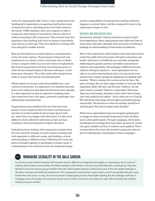work. For organizations like Vacha, it was a progression from building girls' leadership to recognizing that brothers have an important role in exercising power over their sisters in the family. CORO initiated a four-year program to talk to young men about issues of masculinity and the culture of violence (reaching 1,200 young men). They learned from that experience that working with boys on issues of masculinity must start at an early age. They then shifted to working with boys and girls in middle schools.

Boys are interested in accessing inputs on unemployment, work and career options. The pressures to find work and employment are intense, and in rural areas, there is desire to learn computer skills to access new forms of employment. But several organizations see boys as having the power to claim forums and participate in decision-making at a much faster pace than girls. Thus, their work with mixed forums seeks to ensure that boys do not dominate girls.

While mixed-sex forums create the possibility for a new culture of interaction, it is important to be mindful that boys learn to let adolescent girls lead and determine their agendas. It is also important for girls to experience holding power that comes from their own space, networks, knowledge, new relationships and leadership.

Organizations were mindful of the fact that boys have greater access to opportunities for leisure and learning in the form of *yuvak mandals* (youth groups), sports clubs, etc. where they can engage with their peers. It is also more difficult to form collectives with boys as they are busy working or then pursuing jobs or higher education.

Sankalp has been working with young boys and girls from the start and their strategy of work involves working with both separately in different camps, and building a critical understanding on different issues. Following this, boys and girls are brought together to participate in mixed camps. It is demanding for the staff since these are residential camps

and the responsibility of ensuring that nothing untoward happens is entirely theirs, and the community's trust in the organization hinges on this.

#### VIOLENCE AND ADOLESCENT GIRLS

Harassment, domestic violence and abuse are part of girls' lived experiences. Many organizations and collectives take on these issues with girls, although, their processes of working or building an understanding of these issues are different.

Most of the organization staff members who were interviewed noted that while their entry point with girls is education and health, with boys it is livelihood, sex, sexuality and gender. Addressing the gender question inevitably raises issues of violence and masculinity. The pedagogy is different because violence with girls requires it – most organizations do not take on an active interventionist role or do case work in the manner that women's groups do. Explained one Sankalp staff member, "What is violence for us may not be for them. We plan a strategy. We are their support system, to increase their negotiation skills. We don't use the term 'violence'; we ask what needs to change? Violence is naturalized. [We hear]: 'Papa has a bad temper, therefore, I don't rebel.' How to keep your voice political not radical – that is what we try to [teach]. We talk about citizenship and not rights and build language around that. The decision on what the strategy should be is with the girls. We need to respect their decision."

What many organizations have encouraged is getting girls to engage on issues of sexual harassment in their localities and in other public spaces. Through campaigns, street plays, workshops and trainings they have taken up issues of control over girls' mobility and fear of violence more publicly. This is an issue where they have also involved young men who are part of mixed groups, to participate in these campaigns.

## BOX 6 MANAGING SEXUALITY IN THE BALA SANGHA

For five to six years, Mahila Samkhya staff members found it difficult to manage the *bala* sangha, or mixed group, due to issues of mobility, discrimination and sexuality. The Mahila Samkhya staff members also were uncomfortable with a mixed group. They then decided to have two resource group members from the *mahila sangha* (women's collective) be part of the *bala sangha* meetings to talk about reproductive health and adolescence. This arrangement continued for couple of years, until it was decided that girls could handle their own issues. In 2005, the resource women stopped going to every *bala sangha* meeting. But the challenge continues in managing issues of sexuality. Girls primarily discuss issues of desire, attraction and support for each other privately with a Mahila Samkhya resource member.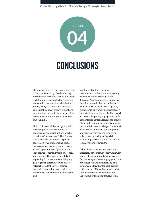

## CONCLUSIONS

Meanings of words change over time. The context and meaning of collectivizing was different in the 1980s than it is today. Back then, women's collectives emerged in an environment of "conscientization" (Freire, 2006) as a result of an emerging conceptualization of empowerment and the experience of protest and legal reform in the autonomous women's movement of 1970s India.

Global policy on adolescent girls speaks in the language of investments and benefits and neoliberal notions of what constitutes "development". This frames how collectives are viewed in policy papers: as a way of organizing girls so that governments and other actors can access large numbers of girls to whom they deliver schemes. Data speak loudly, and this is another powerful catalyst in pushing for investments in bringing girls together in forums, clubs, classes, networks, etc. (collectives), toward the goal of improving data on girls or indicators of development on adolescent girls.

Yet, the motivations that emerged from the field in this study for creating collectives of adolescent girls are different. And the outcomes sought are therefore altered. Many organizations came to work with adolescent girls by first organizing women and working on their rights and entitlements. Their work is part of a deepening engagement with gender issues across different age groups. Their understanding of adolescent girls' situation is located in a larger framework of structures and institutions of power and control. They see the long-term objectives of working with girls in challenging patriarchy as an institution to achieve gender equality.

Others have come to their work with adolescent girls through their work with marginalized communities and, within this, focusing on the emerging generation of young boys and girls. Identity and gender come together for such groups, both in terms of how they are excluded from mainstream development and the erasure of their cultural and social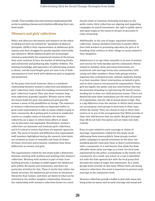worlds. This translates into interventions emphasizing both access to existing schemes and initiatives affirming their own lived world.

## **Women's and girls' collectives**

Policy and advocacy documents and research on the status of adolescent girls are marked by "paradoxes of absence" (Antipode, 2008) in their representation of adolescent girls: women and their struggles for gender equality find hardly any reference. While adolescent girls are increasingly viewed as potentially the empowered women of the future, they must continue to bear the burden of bettering family and community and producing able, healthy children. The existing knowledge and experience of collectivizing women is absent, and the hard-fought gains are seen to be of little consequence to how work with adolescent girls is imagined and positioned.

At the grass-roots level, however, there is a symbiotic relationship between women's collectives and adolescent girls' collectives: they create the enabling environment for girls' collectives to grow. They also share common longterm objectives of gender equality. Women mirror what the future holds for girls, and adolescent girls provide women a sense of the possibilities of change. The existence of women's collectives provides an important buffer to grass-roots organizations to take on issues related to girls in their community. Be it getting girls to school or residential centers or complex issues of sexuality, the women's collectives are a space in which these efforts or issues can be discussed and negotiated. Nonetheless, women's collectives can dominate and constrain girls' collectives, and it is critical to ensure that there are separate spaces for both. The areas of tension and difference that organization staff members highlighted during the research interviews are centered on issues of sexuality and those of choice. At times, structural and economic conditions bear down differently on women and girls.

The organizations visited for this study make a distinction between working with mothers and working with women's collectives. Working with mothers is part of their trustbuilding process, a strategy to build support for adolescent girls within the family and community, and there are particular activities for this. There is clarity that within the family structure, the adolescent girl is lower in the power hierarchy than women, and there are limits to what can be achieved in the mother-daughter relationship. However, the relationship with women's collectives draws on a more

shared vision of claiming citizenship and space in the public realm. Girls' collectives are aligning and supporting campaigns on sexual harassment, the right to public spaces and equal wages as the means to be part of processes to claim citizenship.

Additionally, in the case of larger, organized women's collectives, women members intervene to greater effect than field workers in promoting education for girls or in handling other mothers in their village on issues related to their daughters.

Adolescence is an age when sexuality is an area of anxiety and concern for both families and the community. Norms related to mobility, dress and social interactions are monitored, and marriage looms over communities, both young and older members. Grass-roots groups need to negotiate this contested terrain, without explicitly stating it as their mandate. Direct intervention on behalf of girls and on their issues is not pursued by organizations. These girls are legally not adults, and any intervention that has the potential of leading to a girl leaving the family means sending her to state-run child protection homes. This is not desired because these institutions are rife with all manner of irregularities, and the risk of sexual abuse is high. This is a big difference from the manner in which adult women can access grass-roots groups to intervene in their cases within the family. They can choose to stay in short-term centers or in any of the arrangements that NGOs provide of their own will because they are adults. But girls (younger than 18) do not have this option and are taken into state custody.

Even in cases related to early marriage or choice of marriage, organizations visited for this study avoid addressing these issues publicly. Some groups conduct public campaigns to spread awareness on the issue, but handling specific cases puts them in direct confrontation with a community. It is well known that while the State officially views early marriage as a crime, the local state, represented by the police, is empathetic to the family and community. As a result, any action on a case is identified not with the state agencies but with the local group that becomes the target of anger and resentment. As a result, groups work covertly on this issue. Where there are strong women's collectives, this work is important to prevent early marriage at the community level.

Women's collectives provide a buffer to deal with issues and bring action on issues, such as early marriage and sexual and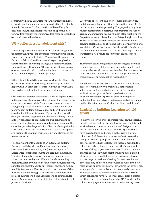reproductive health. Organizations cannot intervene in these areas without the support of women's collectives. Eventually, it is only the women's collectives that will stand by girls' decisions; thus, the tension is productive and positive also. Girls' collectives push the women's collectives to question their own positions on these issues.

## **Why collectives for adolescent girls?**

The way organizations collectivize girls – with an agenda to transform their lives – is a departure from the way in which women have been collectivized. Throughout the research for this study, field staff and interviewed experts emphasized that the manner of working with girls is radically different from working with women. "The way in which you express or raise issues with girls is really at the heart of the matter," was a comment repeated in multiple ways.

What this points to is the process of working simultaneously on the sense of self while linking adolescent girls to the larger world in a safe space – their collective or forum. And this is what results in the transformative element.

Organizations combine knowledge, skills and opportunities in the practices of collective action to make it an empowering experience for young girls. Discussions, theatre, exposure trips, photography, computers, sporting events, etc. are not merely about building skills, abilities and certification but also about building social capital. The sense of self-worth emerges from creating new identities (such as being known as the "Vacha girls" or a member of a *cheli sangha*) and an engagement with new ideas, vocabularies and domains. The collective provides the possibility of both enabling girls who are unable to voice their experiences to listen to their peers and bridging them out of their caste, kin and class identities to new domains.

The study highlights mobility as an outcome of building the social capital of girls and bridging them into new structures, institutions and spaces (in terms of physical access, intellectual engagements and role in communities). The idea of mobility is critical for an age group that is in transition, in ways that are different from how mobility has been articulated by women. For adolescent girls, it is not only a matter of physical mobility but includes social and cultural mobility, fantasy and identity in which many arenas of their lives are involved. Being part of networks, teamwork and forms of interactions (being a mentor or a co-counselor, for instance) creates a sense of mobility that is important to their phase of transition.

Work with adolescent girls often focuses excessively on individual growth and identity. Individual journeys of girls can be dramatic and empowering. The projection of girls as role models is part of a narrative that promotes the idea of agency and motivation against all odds, often sidelining the deep structures and hierarchies that determine girls' choices. These can be read as experiences of girls moving out of bonding social capital and bridging out to new networks and associations. Collectives ensure that the relationship between the individual and the social structures they are part of are transformed. As a result, collectives are critical to social change.

The current policy of organizing adolescent girls, however, remains marred by statistical interests and an aim to reach large numbers of girls as recipients rather than empowering them to explore their rights as human beings beyond an economic asset or reproductive responsibility.

Nonetheless, collective action in the form of clubs, classes, courses, forums, networks or informal gatherings is still a powerful force and critical strategy for working with adolescent girls. At the least, collective action helps adolescents (both girls and boys) find support in understanding themselves as individuals and citizens and in making the oftentimes-confusing transition to adulthood.

## **Leadership building: Learning to hold power**

In many collectives, there is greater focus on the external targets that are to do with transforming society. Internal work related to the structure, form and design of the forums and collectives is weak. Where organizations have invested time and energy in this work, a strong collective of adolescent girls who are able to voice their own priorities as a group and to hold their own with other collectives has resulted. This internal work in the collective is also critical to hand over the history and context of the group to new members. This is a transitory, changing group, in which members leave over a period of three to five years. Collectives with strong internal structures provide the scaffolding for new members to enter and stay and for older members to move into new roles. Creating stronger internal structures can strengthen young people to take on issues of choice, early marriage and those related to sexuality more effectively. Strong youth collectives have raised these issues from a greater position of strength than a handful of NGO workers. The collective engagement moves away from viewing these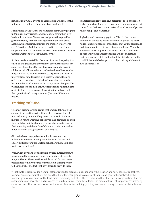issues as individual events or aberrations and creates the potential to challenge them at a structural level.

For instance, in the case of the leadership community program in Mumbai, many groups come together to strengthen girls' leadership practices. The network of groups thus provides greater visibility to the shared agenda that the girls bring. Leadership development through the creation of networks and federations of adolescent girls need to be created and supported, which is a different level of collective from the ones that organizations create at the local level.<sup>13</sup>

Statistics and data establish the scale of gender inequality that exists on the ground, but they cannot become the drivers for social transformation. For social transformation to occur in adolescent girls' lives, a deeper understanding of how gender inequality can be challenged is necessary. Until the vision of interventions for adolescent girls ceases to regard them as objects or recipients of certain development needs or to be better mothers and wives – social change cannot happen. The vision needs to be of girls as future citizens and rights holders of rights. Then the processes of work (taking on board both their practical and strategic interests) become different in nature.

## **Tracking exclusion**

The most disempowered group that emerged through the course of interactions with different groups was that of married young women. They were the most difficult to include in young women's collectives. The demands on their time both by their husbands, who are also keen to control their mobility and the in-laws' claims on their time makes mobilization of this group most challenging.

Girls who have dropped out of school also are more vulnerable in terms of being excluded from forums and opportunities for inputs. Girls in school are the most likely participants included.

Work with boys and young men is critical in transforming ideas related to masculinity and femininity that recreate inequalities. At the same time, while mixed forums create possibilities of new cultures of interaction, it is important to be mindful of the fact that boys learn to provide space

to adolescent girls to lead and determine their agendas. It is also important for girls to experience holding power that comes from their own space, networks and knowledge, new relationships and leadership.

A glaring and necessary gap to be filled in the context of work on collective action with female youth is a more holistic understanding of transitions that young girls make in different contexts of caste, class and religion. There is a need for more longitudinal studies that map journeys of both individual adolescent girls and the collectives that they are part of, to understand the links between the possibilities and challenges that collectivizing adolescent girls encompasses.

13 Batliwala (2013) provided a useful categorization for organizations supporting the creation and sustenance of collectives. Member-serving organizations are ones that bring together groups to create a structure and govern themselves, like the Mumbai groups have done for the leadership community collective. There is also need for other-serving organizations that are autonomous and have skills and resources to build collectives from the outside. The different forms of support necessitated by collectives are often not seen as part of the work of collective building; yet, they are central to long-term and sustained collectives.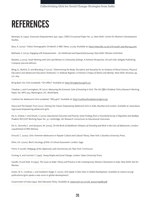## REFERENCES

Banerjee, N. (1995). *Grassroots Empowerment 1975–1990*, CWDS Occasional Paper No. 22, New Delhi: Centre for Women's Development Studies.

Basu, K. (2007). "India's Demographic Dividend", in BBC News, 27 July. Available at: [http://news.bbc.co.uk/2/hi/south\\_asia/6911544.stm.](http://news.bbc.co.uk/2/hi/south_asia/6911544.stm)

Batliwala, S. (2013). *Engaging with Empowerment - An Intellectual and Experiential Journey*. New Delhi: Women Unlimited.

Batsleer, J. (2013). *Youth Working with Girls and Women in Community Settings: A Feminist Perspective*, UK and USA: Ashgate Publishing Company (second edition).

Bhog, D., Mullick, D. and Bhardwaj, P. (2010). "Determining the Body: Discipline and Sexuality for an Analysis of Moral Science, Physical Education and Adolescent Education Textbooks", in *Textbook Regimes: A Feminist Critique of Nation and Identity*. New Delhi: Nirantar, pp. 221–264.

Bring Back Our Girls (undated). "Girl effect". Available at: [http://bringbackourgirls.us/.](http://bringbackourgirls.us/)

Chaaban, J. and Cunningham, W. (2011). *Measuring the Economic Gain of Investing in Girls: The Girl Effect Dividend*. Policy Research Working Paper, No. WPS 5753. Washington, DC: World Bank.

Coalition for Adolescent Girls (undated). "Why girls". Available at: http://coalitionforadolescentgirls.org.

Dasra and The Kiawah Trust (2012). *Owning Her Future: Empowering Adolescent Girls in India*, Mumbai and London. Available at: www.dasra. org/cause/empowering-adolescent-girls.

De, A., Endow, T. and Ghosh, S. (2010). *Educational Outcomes and Poverty: Some Findings from a Household Survey in Rajasthan and Madhya Pradesh,* RECOUP Working Paper No. 32, Cambridge, UK: Research Consortium on Educational Outcomes.

De, A., Noronha C. and Sampson, M. (2005). *On the Brink of Adulthood: Glimpses of Schooling and Work in the Lives of Adolescents*, London, unpublished (CORD Mimeo).

Driscoll, C. (2002). *Girls: Feminine Adolescence in Popular Culture and Cultural Theory*. New York: Columbia University Press.

Elliot, A.E. (2002). *Beck's Sociology of Risk: A Critical Assessment*. London: Sage.

Freire, P. (2006). *Pedagogy of the Oppressed*, 30th Anniversary ed. New York: Continuum.

Furlong, A. and Cartmel, F. (1997). *Young People and Social Change*. London: Open University Press.

Gandhi, N and Shah, N (1992). *The Issues at Stake: Theory and Practice in the Contemporary Women's Movement in India. New Delhi: Kali for* Women.

Green, M. E., Cardinal, L. and Goldstein-Siegel. E. (2010). *Girls Speak: A New Voice in Global Development*. Available at: www.icrw.org/ publications/girls-speak-a-new-voice-in-global-development/.

Government of India (1992). *New Education Policy*. Available at: [www.ncert.nic.in/oth\\_anoun/npe86.pdf.](http://www.ncert.nic.in/oth_anoun/npe86.pdf)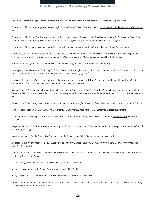Government of India (2009). *Right to Education Act*. Available at: [http://ssa.nic.in/rte-docs/free%20and%20compulsory.pdf](http://ssa.nic.in/rte-docs/free and compulsory.pdf).

Government of India (2010). *Rajiv Gandhi Scheme for Empowering Adolescent Girls*. Available at: [http://wcd.nic.in/SchemeSabla/SABLAscheme.](http://wcd.nic.in/SchemeSabla/SABLAscheme.pdf) [pdf.](http://wcd.nic.in/SchemeSabla/SABLAscheme.pdf)

Government of India (2013). A Strategic Approach to Reproductive, Maternal, Newborn, Child and Adolescent Health (Rmnch+A) In India, Delhi: Ministry of Health and Family Welfare. Available at: [http://nrhm.gov.in/images/pdf/programmes/rmncha-strategy.pdf.](http://nrhm.gov.in/images/pdf/programmes/rmncha-strategy.pdf)

Government of India (2014). *National Youth Policy*. Available at: [www.jnu.ac.in/Students/National%20Youth%20Policy%202014.pdf](http://www.jnu.ac.in/Students/National Youth Policy 2014.pdf).

Gurumurthy, A. and Batliwala, S. (2012). "Revisiting an Idea Called Empowerment: A Reconnaissance of the Mahila Samakhya Experience", in V. Ramachandran and K. Jandhyala (eds): *Cartographies of Empowerment: The Mahila Samakhya Story*. New Delhi: Zubaan.

Henderson, S. et al. (2007). *Inventing Adulthoods: A Biographical Approach to Youth Transitions*. London: Sage.

Inter-Agency Commission (1990). *Meeting Basic Learning Needs: A Vision for the 1990s*. Background Document, World Conference on Education for All. Available at: http://unesdoc.unesco.org/images/0009/000975/097552e.pdf.

Jandhyala, K. 2012. "From Sanghas to Federations: Empowering Processes and Institutions", in V. Ramachandran and K. Jandhyala (eds): *Cartographies of Empowerment: The Mahila Samakhya Story*. New Delhi: Zubaan.

Kabeer, N. (2013). "Rights, Capabilities and Collective Action: The 'Missing Ingredient' in the MDGs". Expert group meeting organized by UN Women and ECLAC, Mexico. Available at: [www.unwomen.org/~/media/Headquarters/Attachments/Sections/CSW/58/EP13-NailaKabeer%20](http://www.unwomen.org/~/media/Headquarters/Attachments/Sections/CSW/58/EP13-NailaKabeer pdf.pdf) [pdf.pdf.](http://www.unwomen.org/~/media/Headquarters/Attachments/Sections/CSW/58/EP13-NailaKabeer pdf.pdf)

Kumar, R. (1993). *The History of Doing: An Illustrated Account of Movements for Women's Rights and Feminism – 1800–1900*. New Delhi: Zubaan.

Levine, R. et al. (2008). *Girls Count: A Global Investment & Action Agenda,* Washington, D.C.: Center for Global Development.

Manzo, K. (2008). "Imaging Humanitarianism: NGO Identity and the Iconography of Childhood", in Antipode, Vol. 40, Issue 4, September, pp. 632–657.

Molyneux, M. (1985). "Mobilisation Without Emancipation? Women's Interests, the State and Revolution in Nicaragua", in *Feminist Studies,* Vol. 11, No. 2, pp. 227–254.

Mohanty, M. (1995). "On the Concept of Empowerment", in *Economic and Political Weekly,* 17 June, pp. 1434–1438.

Mukhopadhyaya, M. and Meer, M. (2004). *Creating Voice and Carving Space: Redefining Governance from a Gender Perspective*. Amsterdam: Royal Tropical Institute.

Nanda, P. et al. (2013). *Addressing Comprehensive Needs of Adolescent Girls in India: A Potential for Creating Livelihoods*. New Delhi: International Centre for Research on Women.

Nirantar (2007). *Examining Self-Help Groups: A Qualitative Study*, New Delhi.

Nirantar (2014). *Landscape Analysis of Early Marriage in India,* New Delhi.

Patel, A. et al. (2013). *The Ocean in a Drop: Inside-Out Youth Leadership*, New Delhi: Sage.

Ramachandran, V. (2007). "Democratic Inequalities: The Dilemma of Elementary Education in India" in A. Kaushik (ed.): *Shiksha: The Challenge of Indian Education,* New Delhi: Buffalo Books.

**32**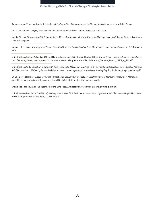Ramachandran, V. and Jandhyala, K. (eds) (2012). *Cartographies of Empowerment: The Story of Mahila Samakhya,* New Delhi: Zubaan

Sen, G. and Grown, C. (1988). *Development, Crisis and Alternative Vision*. London: Earthscan Publication.

Steady, F.C. (2006). *Women and Collective Action in Africa–Development, Democratization, and Empowerment, with Special Focus on Sierra Leone*. New York: Palgrave.

Summers, L.H. (1994). *Investing in All People: Educating Women in Developing Countries.* EDI seminar paper No. 45. Washington, DC: The World Bank.

United Nations Children's Fund and United Nations Educational, Scientific and Cultural Organization (2013). *Thematic Report on Education as*  Part of Post-2015 Development Agenda. Available at: www.unicef.org/education/files/Education\_Thematic\_Report\_FINAL\_v7\_EN.pdf.

United Nations Girls' Education Initiative (UNGEI) (2002). *The Millennium Development Goals and the United Nations Girls Education Initiative: A Guidance Note to UN Country Teams*. Available at: [www.unesco.org/education/efa/know\\_sharing/flagship\\_initiatives/ungei\\_guidance.pdf](http://www.unesco.org/education/efa/know_sharing/flagship_initiatives/ungei_guidance.pdf).

UNGEI (2013). *Statement Global Thematic Consultation on Education in the Post-2015 Development Agenda Dakar, Senegal,* 18–19 March 2013. Available at: [www.ungei.org/infobycountry/files/EN\\_UNGEI\\_statement\\_dakar\\_march\\_2013.pdf.](http://www.ungei.org/infobycountry/files/EN_UNGEI_statement_dakar_march_2013.pdf)

United Nations Population Fund (2011). "Putting Girls First". Available at: [www.unfpa.org/news/putting-girls-first.](http://www.unfpa.org/news/putting-girls-first)

United Nations Population Fund (2014). *Action for Adolescent Girls*. Available at: [www.unfpa.org/sites/default/files/resource-pdf/UNFPA%20](http://www.unfpa.org/sites/default/files/resource-pdf/UNFPA AAG programme document_25july2014.pdf) [AAG%20programme%20document\\_25july2014.pdf.](http://www.unfpa.org/sites/default/files/resource-pdf/UNFPA AAG programme document_25july2014.pdf)